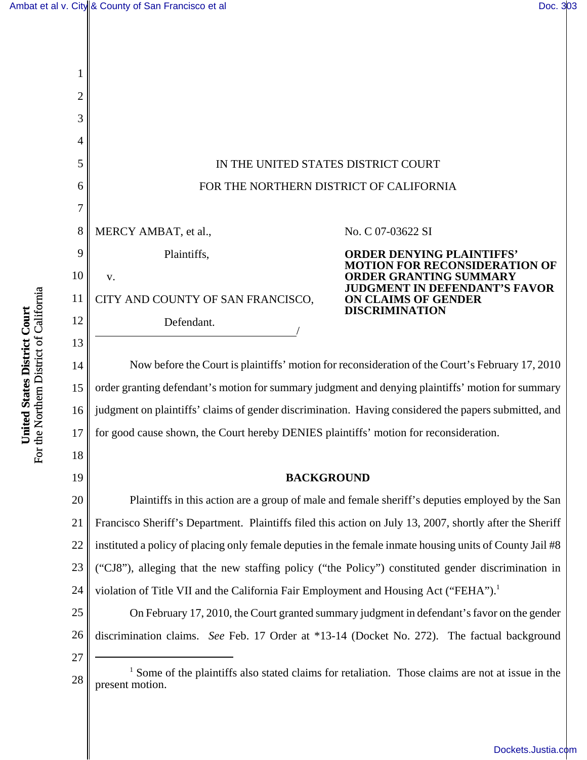

23 ("CJ8"), alleging that the new staffing policy ("the Policy") constituted gender discrimination in

24 violation of Title VII and the California Fair Employment and Housing Act ("FEHA").<sup>1</sup>

25 26 On February 17, 2010, the Court granted summary judgment in defendant's favor on the gender discrimination claims. *See* Feb. 17 Order at \*13-14 (Docket No. 272). The factual background

27

28 <sup>1</sup> Some of the plaintiffs also stated claims for retaliation. Those claims are not at issue in the present motion.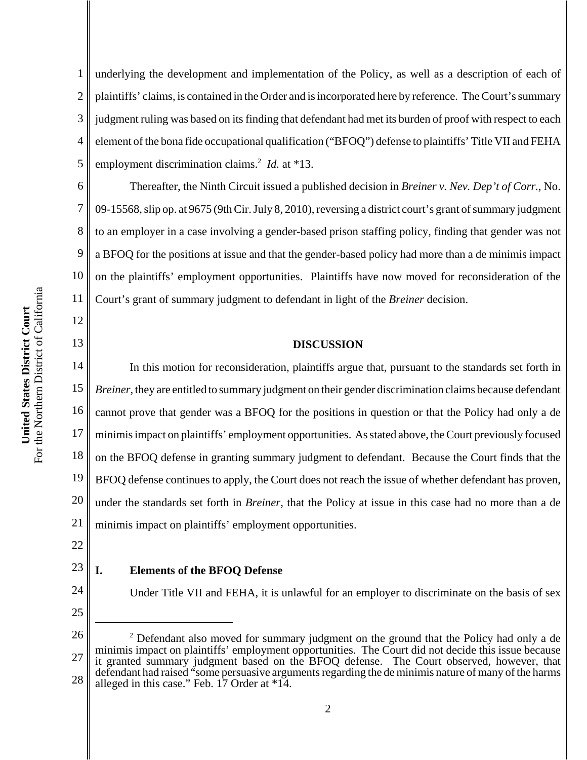1 2 3 4 5 underlying the development and implementation of the Policy, as well as a description of each of plaintiffs' claims, is contained in the Order and is incorporated here by reference. The Court's summary judgment ruling was based on its finding that defendant had met its burden of proof with respect to each element of the bona fide occupational qualification ("BFOQ") defense to plaintiffs' Title VII and FEHA employment discrimination claims.<sup>2</sup> *Id.* at \*13.

6 7 8 9 10 11 Thereafter, the Ninth Circuit issued a published decision in *Breiner v. Nev. Dep't of Corr.*, No. 09-15568, slip op. at 9675 (9th Cir. July 8, 2010), reversing a district court's grant of summary judgment to an employer in a case involving a gender-based prison staffing policy, finding that gender was not a BFOQ for the positions at issue and that the gender-based policy had more than a de minimis impact on the plaintiffs' employment opportunities. Plaintiffs have now moved for reconsideration of the Court's grant of summary judgment to defendant in light of the *Breiner* decision.

#### **DISCUSSION**

14 15 16 17 18 19 20 21 In this motion for reconsideration, plaintiffs argue that, pursuant to the standards set forth in *Breiner*, they are entitled to summary judgment on their gender discrimination claims because defendant cannot prove that gender was a BFOQ for the positions in question or that the Policy had only a de minimis impact on plaintiffs' employment opportunities. As stated above, the Court previously focused on the BFOQ defense in granting summary judgment to defendant. Because the Court finds that the BFOQ defense continues to apply, the Court does not reach the issue of whether defendant has proven, under the standards set forth in *Breiner*, that the Policy at issue in this case had no more than a de minimis impact on plaintiffs' employment opportunities.

22

12

13

#### 23 **I. Elements of the BFOQ Defense**

- 24
- 25

26

<sup>2</sup> Defendant also moved for summary judgment on the ground that the Policy had only a de

Under Title VII and FEHA, it is unlawful for an employer to discriminate on the basis of sex

<sup>27</sup> 28 minimis impact on plaintiffs' employment opportunities. The Court did not decide this issue because it granted summary judgment based on the BFOQ defense. The Court observed, however, that defendant had raised "some persuasive arguments regarding the de minimis nature of many of the harms alleged in this case." Feb. 17 Order at \*14.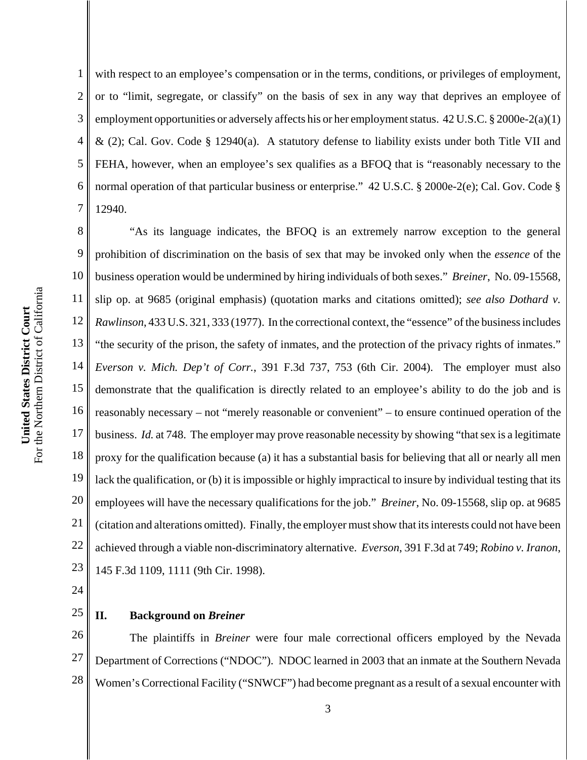1 2 3 4 5 6 7 with respect to an employee's compensation or in the terms, conditions, or privileges of employment, or to "limit, segregate, or classify" on the basis of sex in any way that deprives an employee of employment opportunities or adversely affects his or her employment status. 42 U.S.C. § 2000e-2(a)(1)  $\&$  (2); Cal. Gov. Code § 12940(a). A statutory defense to liability exists under both Title VII and FEHA, however, when an employee's sex qualifies as a BFOQ that is "reasonably necessary to the normal operation of that particular business or enterprise." 42 U.S.C. § 2000e-2(e); Cal. Gov. Code § 12940.

8 9 10 11 12 13 14 15 16 17 18 19 20 21 22 23 "As its language indicates, the BFOQ is an extremely narrow exception to the general prohibition of discrimination on the basis of sex that may be invoked only when the *essence* of the business operation would be undermined by hiring individuals of both sexes." *Breiner*, No. 09-15568, slip op. at 9685 (original emphasis) (quotation marks and citations omitted); *see also Dothard v. Rawlinson*, 433 U.S. 321, 333 (1977). In the correctional context, the "essence" of the business includes "the security of the prison, the safety of inmates, and the protection of the privacy rights of inmates." *Everson v. Mich. Dep't of Corr.*, 391 F.3d 737, 753 (6th Cir. 2004). The employer must also demonstrate that the qualification is directly related to an employee's ability to do the job and is reasonably necessary – not "merely reasonable or convenient" – to ensure continued operation of the business. *Id.* at 748. The employer may prove reasonable necessity by showing "that sex is a legitimate proxy for the qualification because (a) it has a substantial basis for believing that all or nearly all men lack the qualification, or (b) it is impossible or highly impractical to insure by individual testing that its employees will have the necessary qualifications for the job." *Breiner*, No. 09-15568, slip op. at 9685 (citation and alterations omitted). Finally, the employer must show that its interests could not have been achieved through a viable non-discriminatory alternative. *Everson*, 391 F.3d at 749; *Robino v. Iranon*, 145 F.3d 1109, 1111 (9th Cir. 1998).

24

#### 25 **II. Background on** *Breiner*

26 27 28 The plaintiffs in *Breiner* were four male correctional officers employed by the Nevada Department of Corrections ("NDOC"). NDOC learned in 2003 that an inmate at the Southern Nevada Women's Correctional Facility ("SNWCF") had become pregnant as a result of a sexual encounter with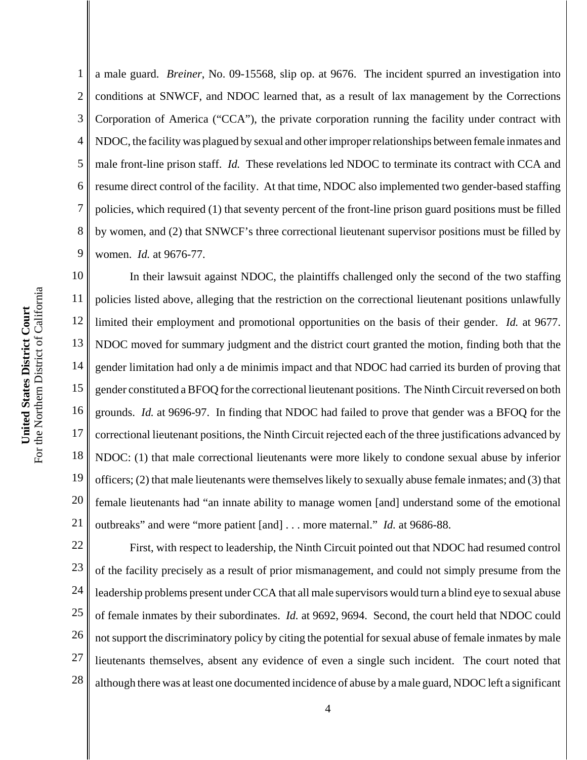1 2 3 4 5 6 7 8 9 a male guard. *Breiner*, No. 09-15568, slip op. at 9676. The incident spurred an investigation into conditions at SNWCF, and NDOC learned that, as a result of lax management by the Corrections Corporation of America ("CCA"), the private corporation running the facility under contract with NDOC, the facility was plagued by sexual and other improper relationships between female inmates and male front-line prison staff. *Id.* These revelations led NDOC to terminate its contract with CCA and resume direct control of the facility. At that time, NDOC also implemented two gender-based staffing policies, which required (1) that seventy percent of the front-line prison guard positions must be filled by women, and (2) that SNWCF's three correctional lieutenant supervisor positions must be filled by women. *Id.* at 9676-77.

10 11 12 13 14 15 16 17 18 19 20 21 In their lawsuit against NDOC, the plaintiffs challenged only the second of the two staffing policies listed above, alleging that the restriction on the correctional lieutenant positions unlawfully limited their employment and promotional opportunities on the basis of their gender. *Id.* at 9677. NDOC moved for summary judgment and the district court granted the motion, finding both that the gender limitation had only a de minimis impact and that NDOC had carried its burden of proving that gender constituted a BFOQ for the correctional lieutenant positions. The Ninth Circuit reversed on both grounds. *Id.* at 9696-97. In finding that NDOC had failed to prove that gender was a BFOQ for the correctional lieutenant positions, the Ninth Circuit rejected each of the three justifications advanced by NDOC: (1) that male correctional lieutenants were more likely to condone sexual abuse by inferior officers; (2) that male lieutenants were themselves likely to sexually abuse female inmates; and (3) that female lieutenants had "an innate ability to manage women [and] understand some of the emotional outbreaks" and were "more patient [and] . . . more maternal." *Id.* at 9686-88.

22 23 24 25 26 27 28 First, with respect to leadership, the Ninth Circuit pointed out that NDOC had resumed control of the facility precisely as a result of prior mismanagement, and could not simply presume from the leadership problems present under CCA that all male supervisors would turn a blind eye to sexual abuse of female inmates by their subordinates. *Id.* at 9692, 9694. Second, the court held that NDOC could not support the discriminatory policy by citing the potential for sexual abuse of female inmates by male lieutenants themselves, absent any evidence of even a single such incident. The court noted that although there was at least one documented incidence of abuse by a male guard, NDOC left a significant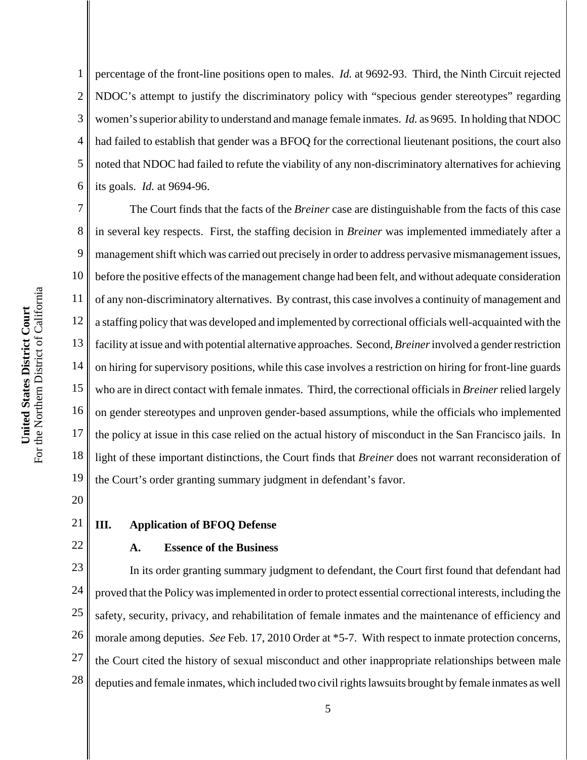1 2 3 4 5 6 percentage of the front-line positions open to males. *Id.* at 9692-93. Third, the Ninth Circuit rejected NDOC's attempt to justify the discriminatory policy with "specious gender stereotypes" regarding women's superior ability to understand and manage female inmates. *Id.* as 9695. In holding that NDOC had failed to establish that gender was a BFOQ for the correctional lieutenant positions, the court also noted that NDOC had failed to refute the viability of any non-discriminatory alternatives for achieving its goals. *Id.* at 9694-96.

7 8 9 10 11 12 13 14 15 16 17 18 19 The Court finds that the facts of the *Breiner* case are distinguishable from the facts of this case in several key respects. First, the staffing decision in *Breiner* was implemented immediately after a management shift which was carried out precisely in order to address pervasive mismanagement issues, before the positive effects of the management change had been felt, and without adequate consideration of any non-discriminatory alternatives. By contrast, this case involves a continuity of management and a staffing policy that was developed and implemented by correctional officials well-acquainted with the facility at issue and with potential alternative approaches. Second, *Breiner* involved a gender restriction on hiring for supervisory positions, while this case involves a restriction on hiring for front-line guards who are in direct contact with female inmates. Third, the correctional officials in *Breiner* relied largely on gender stereotypes and unproven gender-based assumptions, while the officials who implemented the policy at issue in this case relied on the actual history of misconduct in the San Francisco jails. In light of these important distinctions, the Court finds that *Breiner* does not warrant reconsideration of the Court's order granting summary judgment in defendant's favor.

- 20
- 21

22

## **III. Application of BFOQ Defense**

#### **A. Essence of the Business**

23 24 25 26 27 28 In its order granting summary judgment to defendant, the Court first found that defendant had proved that the Policy was implemented in order to protect essential correctional interests, including the safety, security, privacy, and rehabilitation of female inmates and the maintenance of efficiency and morale among deputies. *See* Feb. 17, 2010 Order at \*5-7. With respect to inmate protection concerns, the Court cited the history of sexual misconduct and other inappropriate relationships between male deputies and female inmates, which included two civil rights lawsuits brought by female inmates as well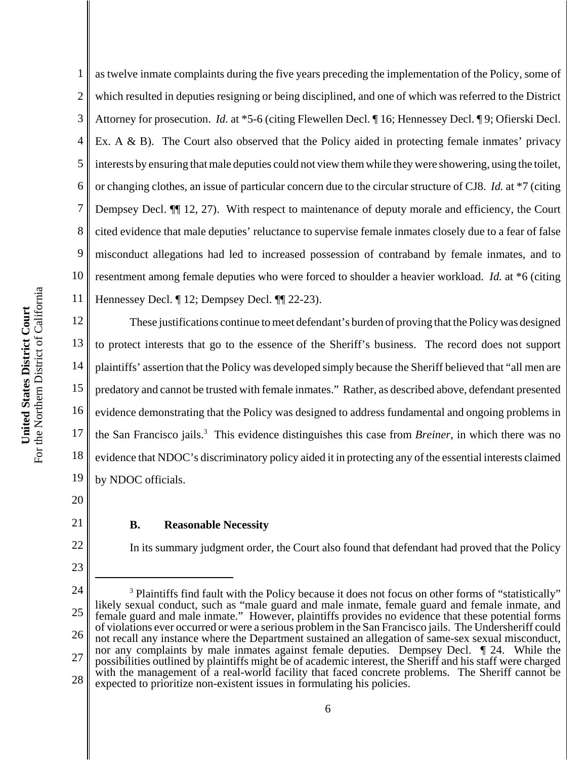1 2 3 4 5 6 7 8 9 10 11 as twelve inmate complaints during the five years preceding the implementation of the Policy, some of which resulted in deputies resigning or being disciplined, and one of which was referred to the District Attorney for prosecution. *Id.* at \*5-6 (citing Flewellen Decl. ¶ 16; Hennessey Decl. ¶ 9; Ofierski Decl. Ex. A  $\&$  B). The Court also observed that the Policy aided in protecting female inmates' privacy interests by ensuring that male deputies could not view them while they were showering, using the toilet, or changing clothes, an issue of particular concern due to the circular structure of CJ8. *Id.* at \*7 (citing Dempsey Decl. ¶¶ 12, 27). With respect to maintenance of deputy morale and efficiency, the Court cited evidence that male deputies' reluctance to supervise female inmates closely due to a fear of false misconduct allegations had led to increased possession of contraband by female inmates, and to resentment among female deputies who were forced to shoulder a heavier workload. *Id.* at \*6 (citing Hennessey Decl. ¶ 12; Dempsey Decl. ¶¶ 22-23).

12 13 14 15 16 17 18 19 These justifications continue to meet defendant's burden of proving that the Policy was designed to protect interests that go to the essence of the Sheriff's business. The record does not support plaintiffs' assertion that the Policy was developed simply because the Sheriff believed that "all men are predatory and cannot be trusted with female inmates." Rather, as described above, defendant presented evidence demonstrating that the Policy was designed to address fundamental and ongoing problems in the San Francisco jails.<sup>3</sup> This evidence distinguishes this case from *Breiner*, in which there was no evidence that NDOC's discriminatory policy aided it in protecting any of the essential interests claimed by NDOC officials.

20 21

22

23

## **B. Reasonable Necessity**

In its summary judgment order, the Court also found that defendant had proved that the Policy

<sup>24</sup> 25 26 27 28 <sup>3</sup> Plaintiffs find fault with the Policy because it does not focus on other forms of "statistically" likely sexual conduct, such as "male guard and male inmate, female guard and female inmate, and female guard and male inmate." However, plaintiffs provides no evidence that these potential forms of violations ever occurred or were a serious problem in the San Francisco jails. The Undersheriff could not recall any instance where the Department sustained an allegation of same-sex sexual misconduct, nor any complaints by male inmates against female deputies. Dempsey Decl. ¶ 24. While the possibilities outlined by plaintiffs might be of academic interest, the Sheriff and his staff were charged with the management of a real-world facility that faced concrete problems. The Sheriff cannot be expected to prioritize non-existent issues in formulating his policies.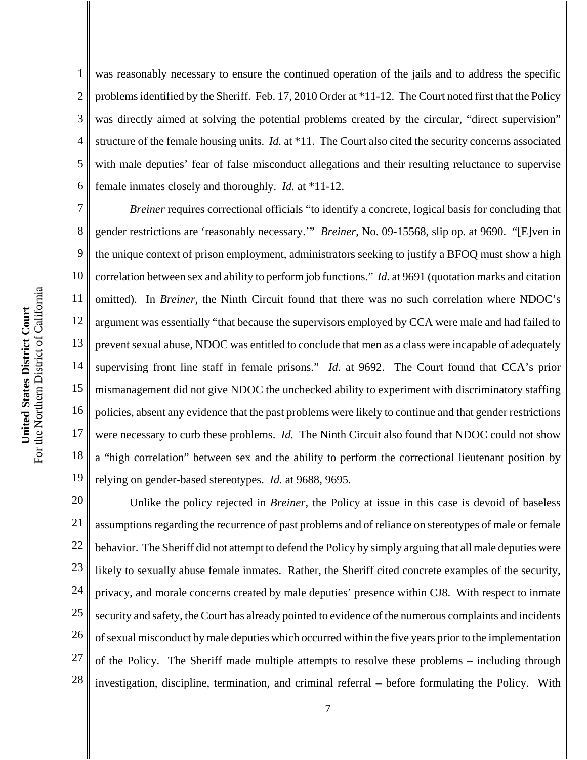1 2 3 4 5 6 was reasonably necessary to ensure the continued operation of the jails and to address the specific problems identified by the Sheriff. Feb. 17, 2010 Order at \*11-12. The Court noted first that the Policy was directly aimed at solving the potential problems created by the circular, "direct supervision" structure of the female housing units. *Id.* at \*11. The Court also cited the security concerns associated with male deputies' fear of false misconduct allegations and their resulting reluctance to supervise female inmates closely and thoroughly. *Id.* at \*11-12.

7 8 9 10 11 12 13 14 15 16 17 18 19 *Breiner* requires correctional officials "to identify a concrete, logical basis for concluding that gender restrictions are 'reasonably necessary.'" *Breiner*, No. 09-15568, slip op. at 9690. "[E]ven in the unique context of prison employment, administrators seeking to justify a BFOQ must show a high correlation between sex and ability to perform job functions." *Id.* at 9691 (quotation marks and citation omitted). In *Breiner*, the Ninth Circuit found that there was no such correlation where NDOC's argument was essentially "that because the supervisors employed by CCA were male and had failed to prevent sexual abuse, NDOC was entitled to conclude that men as a class were incapable of adequately supervising front line staff in female prisons." *Id.* at 9692. The Court found that CCA's prior mismanagement did not give NDOC the unchecked ability to experiment with discriminatory staffing policies, absent any evidence that the past problems were likely to continue and that gender restrictions were necessary to curb these problems. *Id.* The Ninth Circuit also found that NDOC could not show a "high correlation" between sex and the ability to perform the correctional lieutenant position by relying on gender-based stereotypes. *Id.* at 9688, 9695.

20 21 22 23 24 25 26 27 28 Unlike the policy rejected in *Breiner*, the Policy at issue in this case is devoid of baseless assumptions regarding the recurrence of past problems and of reliance on stereotypes of male or female behavior. The Sheriff did not attempt to defend the Policy by simply arguing that all male deputies were likely to sexually abuse female inmates. Rather, the Sheriff cited concrete examples of the security, privacy, and morale concerns created by male deputies' presence within CJ8. With respect to inmate security and safety, the Court has already pointed to evidence of the numerous complaints and incidents of sexual misconduct by male deputies which occurred within the five years prior to the implementation of the Policy. The Sheriff made multiple attempts to resolve these problems – including through investigation, discipline, termination, and criminal referral – before formulating the Policy. With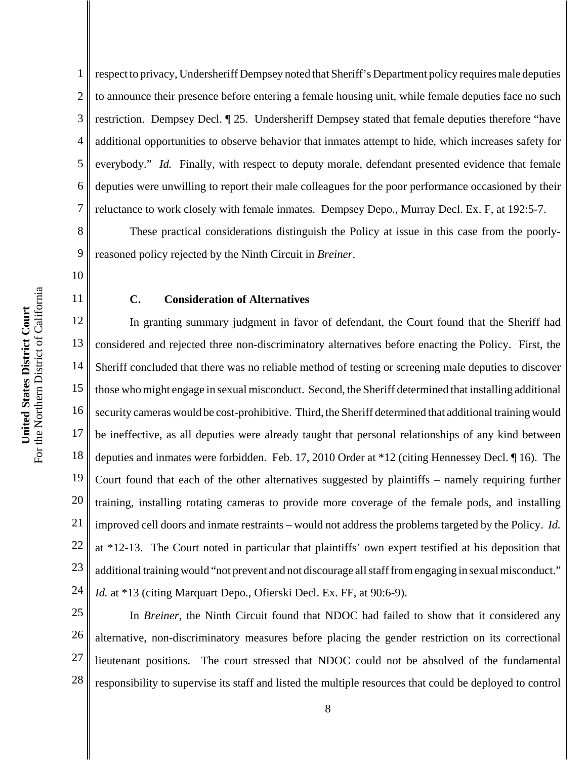For the Northern District of California For the Northern District of California United States District Court **United States District Court**

8

9

10

11

1 2 3 4 5 6 7 respect to privacy, Undersheriff Dempsey noted that Sheriff's Department policy requires male deputies to announce their presence before entering a female housing unit, while female deputies face no such restriction. Dempsey Decl. ¶ 25. Undersheriff Dempsey stated that female deputies therefore "have additional opportunities to observe behavior that inmates attempt to hide, which increases safety for everybody." *Id.* Finally, with respect to deputy morale, defendant presented evidence that female deputies were unwilling to report their male colleagues for the poor performance occasioned by their reluctance to work closely with female inmates. Dempsey Depo., Murray Decl. Ex. F, at 192:5-7.

These practical considerations distinguish the Policy at issue in this case from the poorlyreasoned policy rejected by the Ninth Circuit in *Breiner*.

## **C. Consideration of Alternatives**

12 13 14 15 16 17 18 19 20 21 22 23 24 In granting summary judgment in favor of defendant, the Court found that the Sheriff had considered and rejected three non-discriminatory alternatives before enacting the Policy. First, the Sheriff concluded that there was no reliable method of testing or screening male deputies to discover those who might engage in sexual misconduct. Second, the Sheriff determined that installing additional security cameras would be cost-prohibitive. Third, the Sheriff determined that additional training would be ineffective, as all deputies were already taught that personal relationships of any kind between deputies and inmates were forbidden. Feb. 17, 2010 Order at \*12 (citing Hennessey Decl. ¶ 16). The Court found that each of the other alternatives suggested by plaintiffs – namely requiring further training, installing rotating cameras to provide more coverage of the female pods, and installing improved cell doors and inmate restraints – would not address the problems targeted by the Policy. *Id.* at \*12-13. The Court noted in particular that plaintiffs' own expert testified at his deposition that additional training would "not prevent and not discourage all staff from engaging in sexual misconduct." *Id.* at \*13 (citing Marquart Depo., Ofierski Decl. Ex. FF, at 90:6-9).

25 26 27 28 In *Breiner*, the Ninth Circuit found that NDOC had failed to show that it considered any alternative, non-discriminatory measures before placing the gender restriction on its correctional lieutenant positions. The court stressed that NDOC could not be absolved of the fundamental responsibility to supervise its staff and listed the multiple resources that could be deployed to control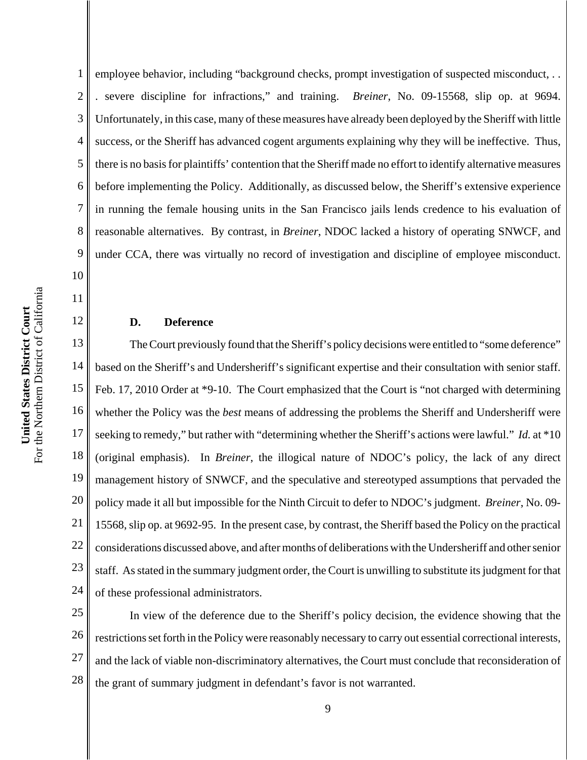10

11

12

1 2 3 4 5 6 7 8 9 employee behavior, including "background checks, prompt investigation of suspected misconduct, . . . severe discipline for infractions," and training. *Breiner*, No. 09-15568, slip op. at 9694. Unfortunately, in this case, many of these measures have already been deployed by the Sheriff with little success, or the Sheriff has advanced cogent arguments explaining why they will be ineffective. Thus, there is no basis for plaintiffs' contention that the Sheriff made no effort to identify alternative measures before implementing the Policy. Additionally, as discussed below, the Sheriff's extensive experience in running the female housing units in the San Francisco jails lends credence to his evaluation of reasonable alternatives. By contrast, in *Breiner*, NDOC lacked a history of operating SNWCF, and under CCA, there was virtually no record of investigation and discipline of employee misconduct.

#### **D. Deference**

13 14 15 16 17 18 19 20 21 22 23 24 The Court previously found that the Sheriff's policy decisions were entitled to "some deference" based on the Sheriff's and Undersheriff's significant expertise and their consultation with senior staff. Feb. 17, 2010 Order at \*9-10. The Court emphasized that the Court is "not charged with determining whether the Policy was the *best* means of addressing the problems the Sheriff and Undersheriff were seeking to remedy," but rather with "determining whether the Sheriff's actions were lawful." *Id.* at \*10 (original emphasis). In *Breiner*, the illogical nature of NDOC's policy, the lack of any direct management history of SNWCF, and the speculative and stereotyped assumptions that pervaded the policy made it all but impossible for the Ninth Circuit to defer to NDOC's judgment. *Breiner*, No. 09- 15568, slip op. at 9692-95. In the present case, by contrast, the Sheriff based the Policy on the practical considerations discussed above, and after months of deliberations with the Undersheriff and other senior staff. As stated in the summary judgment order, the Court is unwilling to substitute its judgment for that of these professional administrators.

25 26 27 28 In view of the deference due to the Sheriff's policy decision, the evidence showing that the restrictions set forth in the Policy were reasonably necessary to carry out essential correctional interests, and the lack of viable non-discriminatory alternatives, the Court must conclude that reconsideration of the grant of summary judgment in defendant's favor is not warranted.